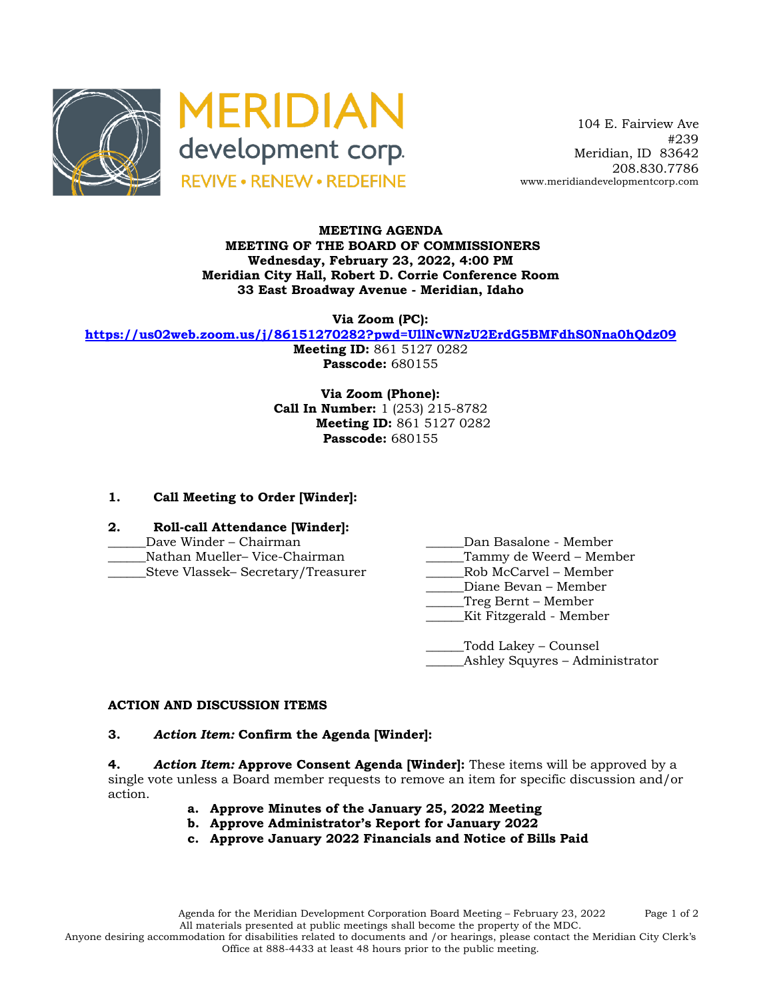



 104 E. Fairview Ave #239 Meridian, ID 83642 208.830.7786 www.meridiandevelopmentcorp.com

### **MEETING AGENDA MEETING OF THE BOARD OF COMMISSIONERS Wednesday, February 23, 2022, 4:00 PM Meridian City Hall, Robert D. Corrie Conference Room 33 East Broadway Avenue - Meridian, Idaho**

**Via Zoom (PC):**

**https://us02web.zoom.us/j/86151270282?pwd=UllNcWNzU2ErdG5BMFdhS0Nna0hQdz09**

**Meeting ID:** 861 5127 0282 **Passcode:** 680155

**Via Zoom (Phone): Call In Number:** 1 (253) 215-8782 **Meeting ID:** 861 5127 0282 **Passcode:** 680155

# **1. Call Meeting to Order [Winder]:**

# **2. Roll-call Attendance [Winder]:**

- 
- 
- Steve Vlassek– Secretary/Treasurer
- Dave Winder Chairman **Dan Basalone Member**
- \_\_\_\_\_\_Nathan Mueller– Vice-Chairman \_\_\_\_\_\_Tammy de Weerd Member
	-
	- Diane Bevan Member
	- \_\_\_\_\_\_Treg Bernt Member
	- \_\_\_\_\_\_Kit Fitzgerald Member

\_\_\_\_\_\_Todd Lakey – Counsel \_Ashley Squyres – Administrator

# **ACTION AND DISCUSSION ITEMS**

#### **3.** *Action Item:* **Confirm the Agenda [Winder]:**

**4.** *Action Item:* **Approve Consent Agenda [Winder]:** These items will be approved by a single vote unless a Board member requests to remove an item for specific discussion and/or action.

- **a. Approve Minutes of the January 25, 2022 Meeting**
- **b. Approve Administrator's Report for January 2022**
- **c. Approve January 2022 Financials and Notice of Bills Paid**